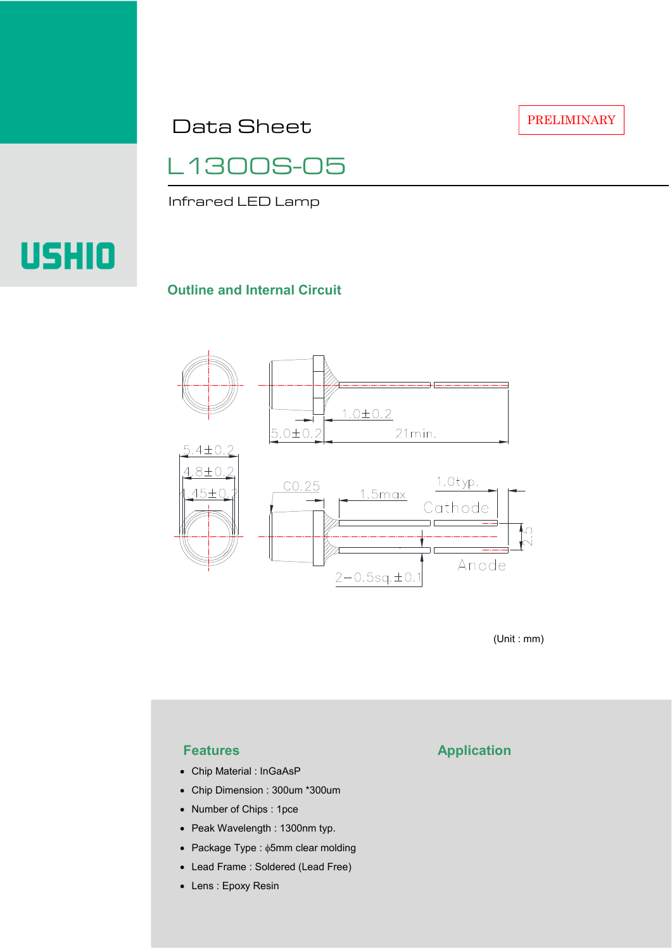Data Sheet

PRELIMINARY

## L1300S-05

Infrared LED Lamp

# **USHIO**

#### **Outline and Internal Circuit**



(Unit : mm)

- Chip Material : InGaAsP
- Chip Dimension : 300um \*300um
- Number of Chips : 1pce
- Peak Wavelength : 1300nm typ.
- Package Type : φ5mm clear molding
- Lead Frame : Soldered (Lead Free)
- Lens : Epoxy Resin

### **Features Application**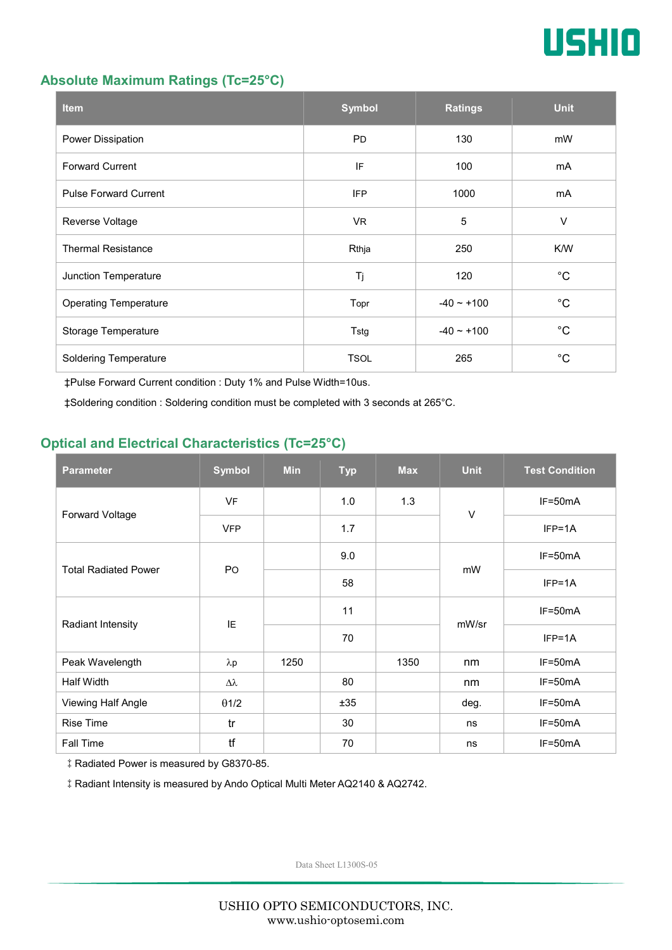

#### **Absolute Maximum Ratings (Tc=25°C)**

| <b>Item</b>                  | <b>Symbol</b> | <b>Ratings</b>  | <b>Unit</b> |
|------------------------------|---------------|-----------------|-------------|
| Power Dissipation            | <b>PD</b>     | 130             | mW          |
| <b>Forward Current</b>       | IF            | 100             | mA          |
| <b>Pulse Forward Current</b> | <b>IFP</b>    | 1000            | mA          |
| Reverse Voltage              | VR.           | $\overline{5}$  | $\vee$      |
| <b>Thermal Resistance</b>    | Rthja         | 250             | K/W         |
| Junction Temperature         | Tj            | 120             | $^{\circ}C$ |
| <b>Operating Temperature</b> | Topr          | $-40 \sim +100$ | $^{\circ}C$ |
| Storage Temperature          | Tstg          | $-40 \sim +100$ | $^{\circ}C$ |
| <b>Soldering Temperature</b> | <b>TSOL</b>   | 265             | $^{\circ}C$ |

‡Pulse Forward Current condition : Duty 1% and Pulse Width=10us.

‡Soldering condition : Soldering condition must be completed with 3 seconds at 265°C.

#### **Optical and Electrical Characteristics (Tc=25°C)**

| <b>Parameter</b>            | <b>Symbol</b>  | <b>Min</b> | <b>Typ</b> | <b>Max</b> | <b>Unit</b> | <b>Test Condition</b> |
|-----------------------------|----------------|------------|------------|------------|-------------|-----------------------|
| Forward Voltage             | <b>VF</b>      |            | 1.0        | 1.3        | $\vee$      | IF=50mA               |
|                             | <b>VFP</b>     |            | 1.7        |            |             | $IFP=1A$              |
| <b>Total Radiated Power</b> | P <sub>O</sub> |            | 9.0        |            | mW          | $IF=50mA$             |
|                             |                |            | 58         |            |             | $IFP=1A$              |
| Radiant Intensity           | IE             |            | 11         |            | mW/sr       | $IF=50mA$             |
|                             |                |            | 70         |            |             | $IFP=1A$              |
| Peak Wavelength             | $\lambda p$    | 1250       |            | 1350       | nm          | $IF=50mA$             |
| Half Width                  | Δλ             |            | 80         |            | nm          | $IF=50mA$             |
| Viewing Half Angle          | $\theta$ 1/2   |            | ±35        |            | deg.        | $IF=50mA$             |
| <b>Rise Time</b>            | tr             |            | 30         |            | ns          | $IF=50mA$             |
| <b>Fall Time</b>            | tf             |            | 70         |            | ns          | $IF=50mA$             |

‡Radiated Power is measured by G8370-85.

‡Radiant Intensity is measured by Ando Optical Multi Meter AQ2140 & AQ2742.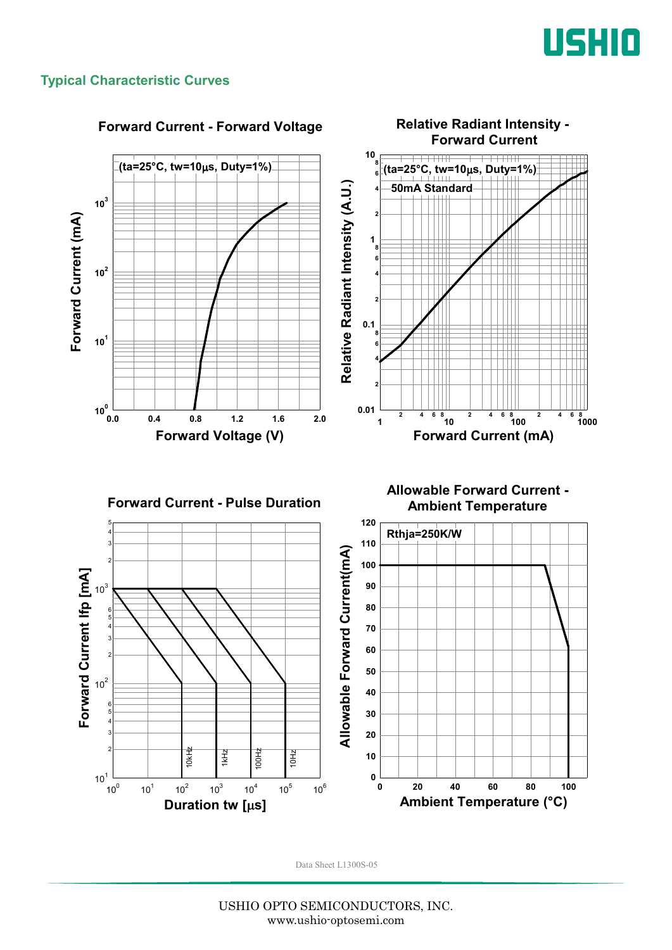

#### **Typical Characteristic Curves**



#### **Forward Current - Forward Voltage**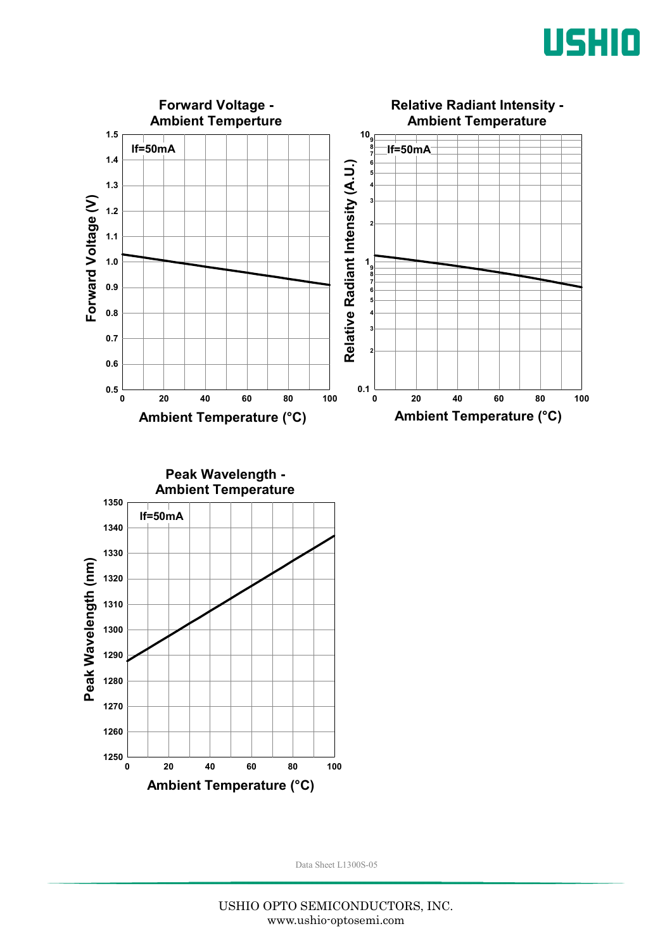



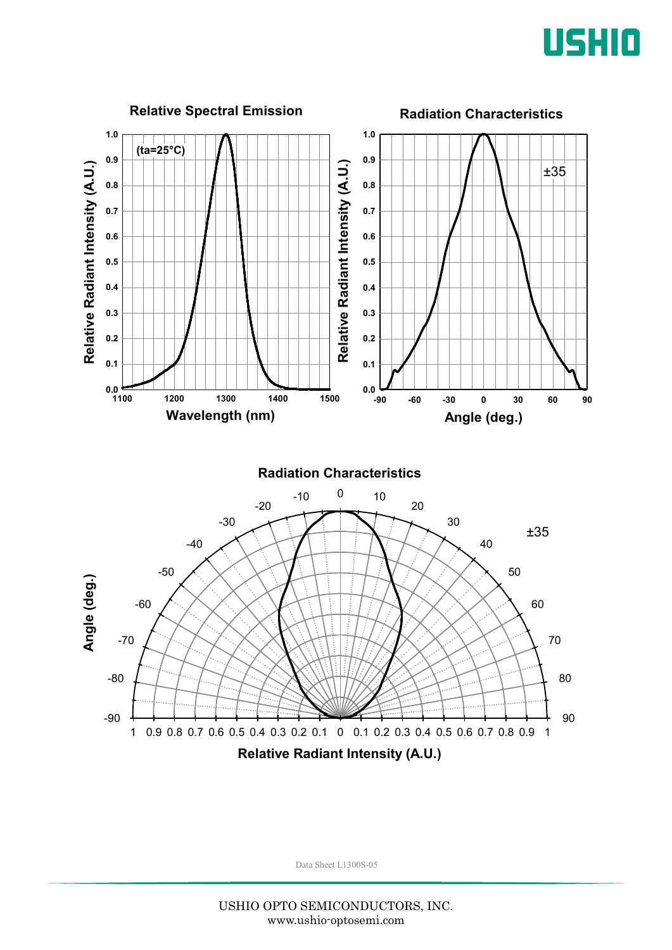